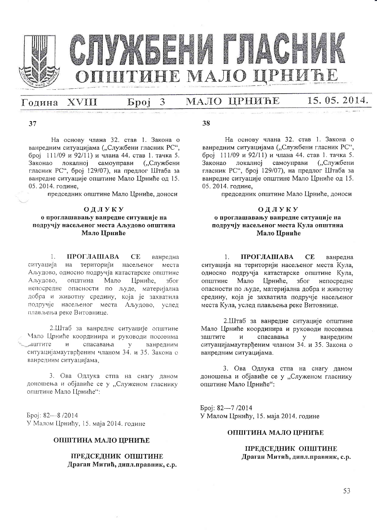

#### МАЛО ЦРНИЋЕ XVIII 3 Година **Spoj**

## 15, 05, 2014.

37

На основу члана 32. став 1. Закона о ванредним ситуацијама ("Службени гласник РС", број 111/09 и 92/11) и члана 44. став 1. тачка 5. Законао локалној самоуправи ("Службени гласник РС", број 129/07), на предлог Штаба за ванредне ситуације општине Мало Црниће од 15. 05.2014. године.

председник општине Мало Црниће, доноси

### ОДЛУКУ о проглашавању ванредне ситуације на подручју насељеног места Аљудово општина Мало Прниће

**ПРОГЛАШАВА**  $\mathbf{1}$  $CE$ ванредна ситуација на територији насељеног места Аљудово, односно подручја катастарске општине Мало Аљудово, општина Прниће. због непосредне опасности по људе, материјална добра и животну средину, која је захватила подручје насељеног места Аљудово, услед плављења реке Витовнице.

2.Штаб за ванредне ситуације општине Мало Црниће координира и руководи посовима спасавања лаштите  $\mathbf{M}$  $\mathbf{V}$ ванредним ситуацијамаутврђеним чланом 34. и 35. Закона о ванредним ситуацијама.

3. Ова Одлука стпа на снагу даном доношења и објавиће се у "Служеном гласнику општине Мало Црниће":

Број: 82-8/2014 У Малом Црнићу, 15. маја 2014. године

#### ОПШТИНА МАЛО ЦРНИЋЕ

ПРЕДСЕДНИК ОПШТИНЕ Драган Митић, дипл.правник, с.р. 38

На основу члана 32. став 1. Закона о ванредним ситуацијама ("Службени гласник РС", број 111/09 и 92/11) и члана 44. став 1. тачка 5. Законао локалној самоуправи ("Службени гласник РС", број 129/07), на предлог Штаба за ванредне ситуације општине Мало Црниће од 15. 05.2014. године.

председник општине Мало Црниће, доноси

#### ОДЛУКУ о проглашавању ванредне ситуације на подручју насељеног места Кула општина Мало Црниће

ПРОГЛАШАВА  $CE$  $\mathbf{1}$ ванредна ситуација на територији насељеног места Кула, односно подручја катастарске општине Кула, Мало Црниће, због непосредне општине опасности по људе, материјална добра и животну средину, која је захватила подручје насељеног места Кула, услед плављења реке Витовнице.

2.Штаб за ванредне ситуације општине Мало Црниће координира и руководи посовима заштите  $\overline{M}$ спасавања у ванредним ситуацијамаутврђеним чланом 34. и 35. Закона о ванредним ситуацијама.

3. Ова Одлука стпа на снагу даном доношења и објавиће се у "Служеном гласнику општине Мало Црниће":

Epoj: 82-7/2014 У Малом Црнићу, 15. маја 2014. године

#### ОПШТИНА МАЛО ПРНИЋЕ

#### ПРЕДСЕДНИК ОПШТИНЕ Драган Митић, дипл.правник, с.р.

53